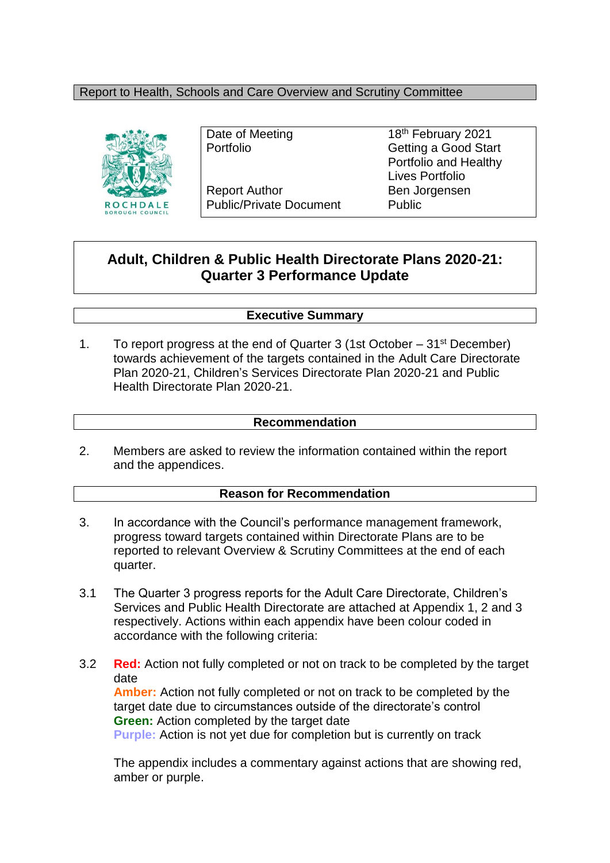#### Report to Health, Schools and Care Overview and Scrutiny Committee



Report Author Ben Jorgensen Public/Private Document Public

Date of Meeting 18<sup>th</sup> February 2021 Portfolio **Getting a Good Start** Portfolio and Healthy Lives Portfolio

## **Adult, Children & Public Health Directorate Plans 2020-21: Quarter 3 Performance Update**

#### **Executive Summary**

1. To report progress at the end of Quarter 3 (1st October  $-31<sup>st</sup>$  December) towards achievement of the targets contained in the Adult Care Directorate Plan 2020-21, Children's Services Directorate Plan 2020-21 and Public Health Directorate Plan 2020-21.

#### **Recommendation**

2. Members are asked to review the information contained within the report and the appendices.

#### **Reason for Recommendation**

- 3. In accordance with the Council's performance management framework, progress toward targets contained within Directorate Plans are to be reported to relevant Overview & Scrutiny Committees at the end of each quarter.
- 3.1 The Quarter 3 progress reports for the Adult Care Directorate, Children's Services and Public Health Directorate are attached at Appendix 1, 2 and 3 respectively. Actions within each appendix have been colour coded in accordance with the following criteria:
- 3.2 **Red:** Action not fully completed or not on track to be completed by the target date **Amber:** Action not fully completed or not on track to be completed by the target date due to circumstances outside of the directorate's control **Green:** Action completed by the target date **Purple:** Action is not yet due for completion but is currently on track

The appendix includes a commentary against actions that are showing red, amber or purple.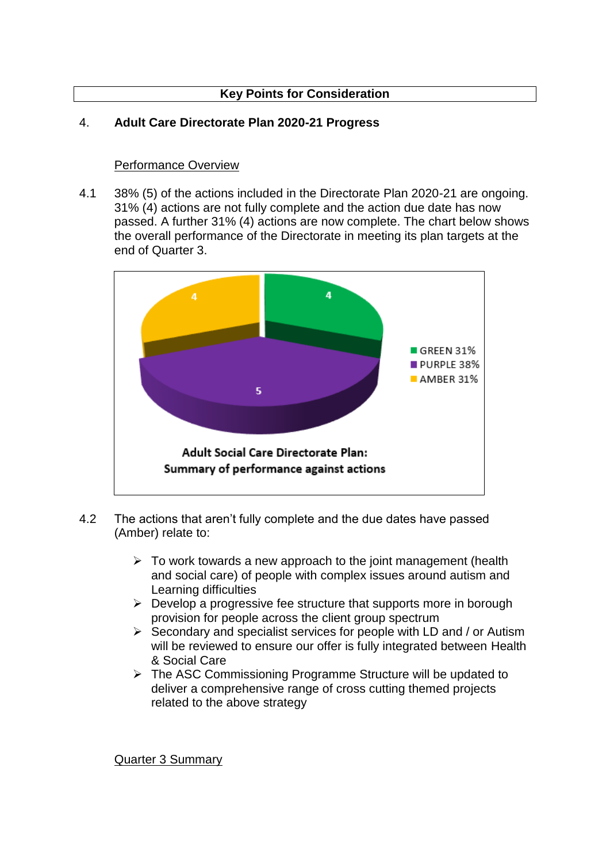## **Key Points for Consideration**

#### 4. **Adult Care Directorate Plan 2020-21 Progress**

#### Performance Overview

4.1 38% (5) of the actions included in the Directorate Plan 2020-21 are ongoing. 31% (4) actions are not fully complete and the action due date has now passed. A further 31% (4) actions are now complete. The chart below shows the overall performance of the Directorate in meeting its plan targets at the end of Quarter 3.



- 4.2 The actions that aren't fully complete and the due dates have passed (Amber) relate to:
	- $\triangleright$  To work towards a new approach to the joint management (health and social care) of people with complex issues around autism and Learning difficulties
	- $\triangleright$  Develop a progressive fee structure that supports more in borough provision for people across the client group spectrum
	- $\triangleright$  Secondary and specialist services for people with LD and / or Autism will be reviewed to ensure our offer is fully integrated between Health & Social Care
	- $\triangleright$  The ASC Commissioning Programme Structure will be updated to deliver a comprehensive range of cross cutting themed projects related to the above strategy

Quarter 3 Summary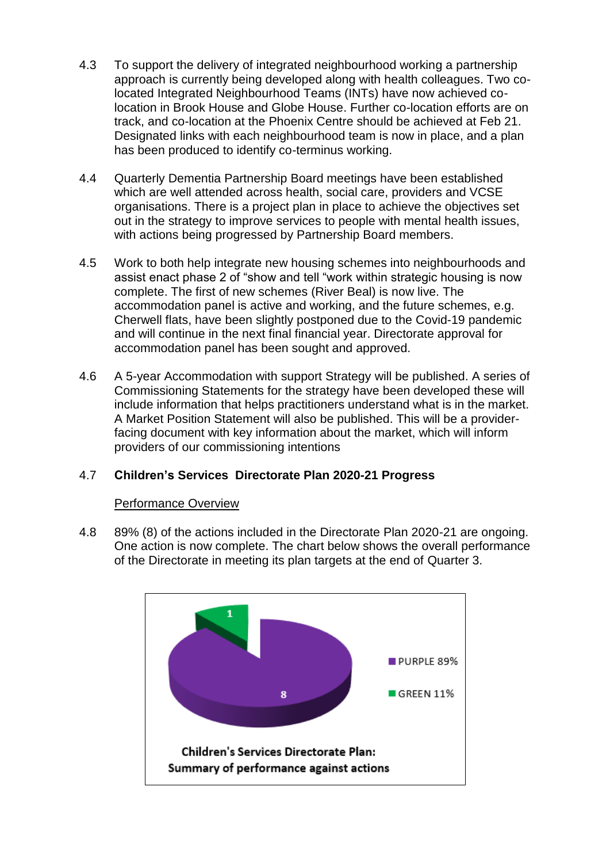- 4.3 To support the delivery of integrated neighbourhood working a partnership approach is currently being developed along with health colleagues. Two colocated Integrated Neighbourhood Teams (INTs) have now achieved colocation in Brook House and Globe House. Further co-location efforts are on track, and co-location at the Phoenix Centre should be achieved at Feb 21. Designated links with each neighbourhood team is now in place, and a plan has been produced to identify co-terminus working.
- 4.4 Quarterly Dementia Partnership Board meetings have been established which are well attended across health, social care, providers and VCSE organisations. There is a project plan in place to achieve the objectives set out in the strategy to improve services to people with mental health issues, with actions being progressed by Partnership Board members.
- 4.5 Work to both help integrate new housing schemes into neighbourhoods and assist enact phase 2 of "show and tell "work within strategic housing is now complete. The first of new schemes (River Beal) is now live. The accommodation panel is active and working, and the future schemes, e.g. Cherwell flats, have been slightly postponed due to the Covid-19 pandemic and will continue in the next final financial year. Directorate approval for accommodation panel has been sought and approved.
- 4.6 A 5-year Accommodation with support Strategy will be published. A series of Commissioning Statements for the strategy have been developed these will include information that helps practitioners understand what is in the market. A Market Position Statement will also be published. This will be a providerfacing document with key information about the market, which will inform providers of our commissioning intentions

#### 4.7 **Children's Services Directorate Plan 2020-21 Progress**

#### Performance Overview

4.8 89% (8) of the actions included in the Directorate Plan 2020-21 are ongoing. One action is now complete. The chart below shows the overall performance of the Directorate in meeting its plan targets at the end of Quarter 3.

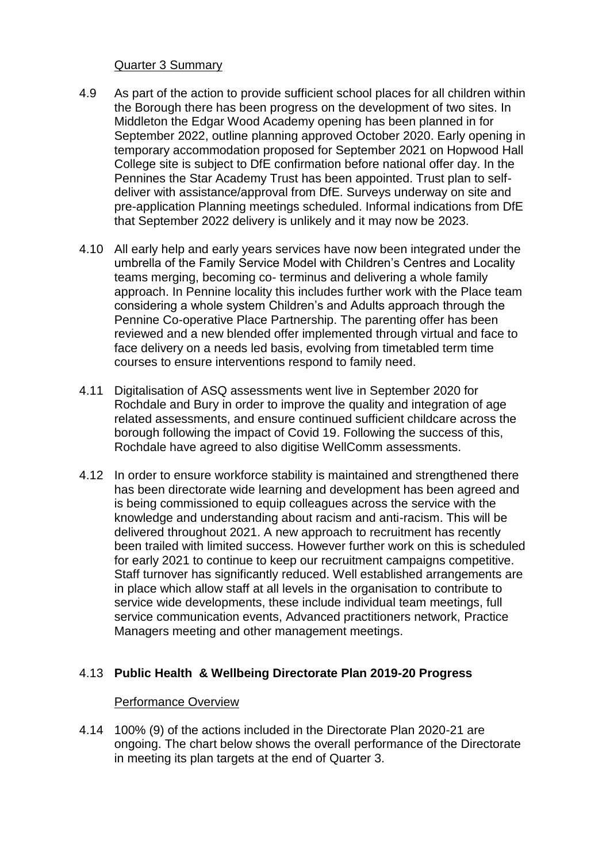#### Quarter 3 Summary

- 4.9 As part of the action to provide sufficient school places for all children within the Borough there has been progress on the development of two sites. In Middleton the Edgar Wood Academy opening has been planned in for September 2022, outline planning approved October 2020. Early opening in temporary accommodation proposed for September 2021 on Hopwood Hall College site is subject to DfE confirmation before national offer day. In the Pennines the Star Academy Trust has been appointed. Trust plan to selfdeliver with assistance/approval from DfE. Surveys underway on site and pre-application Planning meetings scheduled. Informal indications from DfE that September 2022 delivery is unlikely and it may now be 2023.
- 4.10 All early help and early years services have now been integrated under the umbrella of the Family Service Model with Children's Centres and Locality teams merging, becoming co- terminus and delivering a whole family approach. In Pennine locality this includes further work with the Place team considering a whole system Children's and Adults approach through the Pennine Co-operative Place Partnership. The parenting offer has been reviewed and a new blended offer implemented through virtual and face to face delivery on a needs led basis, evolving from timetabled term time courses to ensure interventions respond to family need.
- 4.11 Digitalisation of ASQ assessments went live in September 2020 for Rochdale and Bury in order to improve the quality and integration of age related assessments, and ensure continued sufficient childcare across the borough following the impact of Covid 19. Following the success of this, Rochdale have agreed to also digitise WellComm assessments.
- 4.12 In order to ensure workforce stability is maintained and strengthened there has been directorate wide learning and development has been agreed and is being commissioned to equip colleagues across the service with the knowledge and understanding about racism and anti-racism. This will be delivered throughout 2021. A new approach to recruitment has recently been trailed with limited success. However further work on this is scheduled for early 2021 to continue to keep our recruitment campaigns competitive. Staff turnover has significantly reduced. Well established arrangements are in place which allow staff at all levels in the organisation to contribute to service wide developments, these include individual team meetings, full service communication events, Advanced practitioners network, Practice Managers meeting and other management meetings.

### 4.13 **Public Health & Wellbeing Directorate Plan 2019-20 Progress**

#### Performance Overview

4.14 100% (9) of the actions included in the Directorate Plan 2020-21 are ongoing. The chart below shows the overall performance of the Directorate in meeting its plan targets at the end of Quarter 3.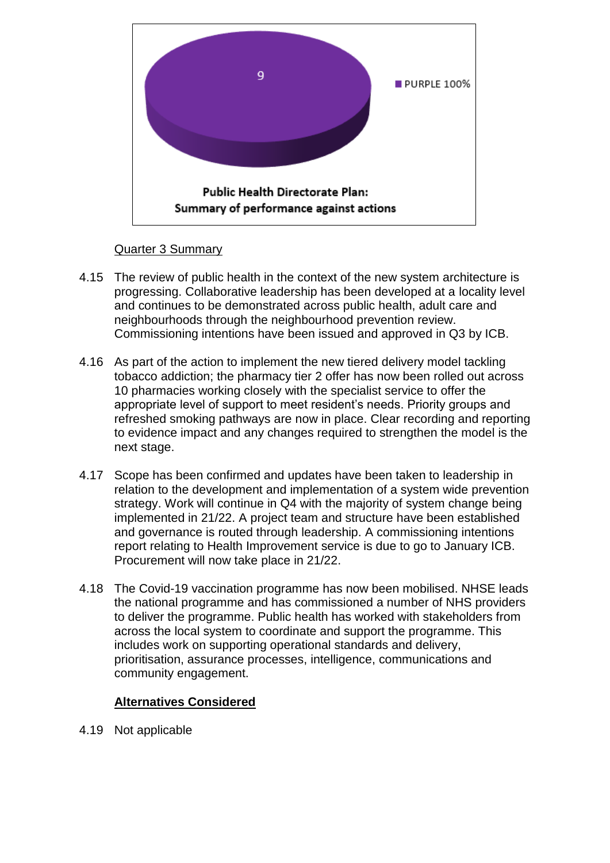

#### Quarter 3 Summary

- 4.15 The review of public health in the context of the new system architecture is progressing. Collaborative leadership has been developed at a locality level and continues to be demonstrated across public health, adult care and neighbourhoods through the neighbourhood prevention review. Commissioning intentions have been issued and approved in Q3 by ICB.
- 4.16 As part of the action to implement the new tiered delivery model tackling tobacco addiction; the pharmacy tier 2 offer has now been rolled out across 10 pharmacies working closely with the specialist service to offer the appropriate level of support to meet resident's needs. Priority groups and refreshed smoking pathways are now in place. Clear recording and reporting to evidence impact and any changes required to strengthen the model is the next stage.
- 4.17 Scope has been confirmed and updates have been taken to leadership in relation to the development and implementation of a system wide prevention strategy. Work will continue in Q4 with the majority of system change being implemented in 21/22. A project team and structure have been established and governance is routed through leadership. A commissioning intentions report relating to Health Improvement service is due to go to January ICB. Procurement will now take place in 21/22.
- 4.18 The Covid-19 vaccination programme has now been mobilised. NHSE leads the national programme and has commissioned a number of NHS providers to deliver the programme. Public health has worked with stakeholders from across the local system to coordinate and support the programme. This includes work on supporting operational standards and delivery, prioritisation, assurance processes, intelligence, communications and community engagement.

### **Alternatives Considered**

4.19 Not applicable